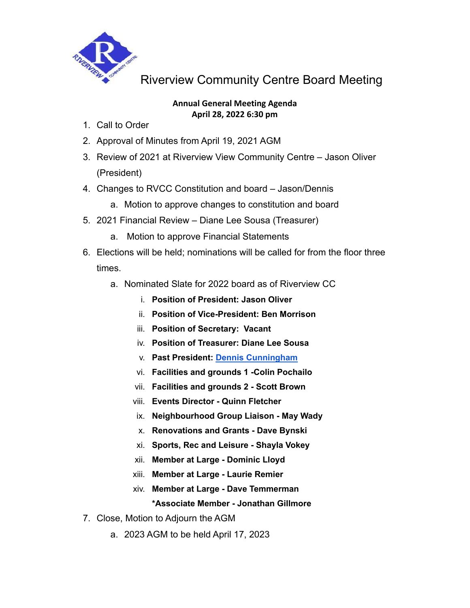

Riverview Community Centre Board Meeting

## **Annual General Meeting Agenda April 28, 2022 6:30 pm**

- 1. Call to Order
- 2. Approval of Minutes from April 19, 2021 AGM
- 3. Review of 2021 at Riverview View Community Centre Jason Oliver (President)
- 4. Changes to RVCC Constitution and board Jason/Dennis
	- a. Motion to approve changes to constitution and board
- 5. 2021 Financial Review Diane Lee Sousa (Treasurer)
	- a. Motion to approve Financial Statements
- 6. Elections will be held; nominations will be called for from the floor three times.
	- a. Nominated Slate for 2022 board as of Riverview CC
		- i. **Position of President: Jason Oliver**
		- ii. **Position of Vice-President: Ben Morrison**
		- iii. **Position of Secretary: Vacant**
		- iv. **Position of Treasurer: Diane Lee Sousa**
		- v. **Past President: Dennis Cunningham**
		- vi. **Facilities and grounds 1 -Colin Pochailo**
		- vii. **Facilities and grounds 2 - Scott Brown**
		- viii. **Events Director - Quinn Fletcher**
		- ix. **Neighbourhood Group Liaison - May Wady**
		- x. **Renovations and Grants - Dave Bynski**
		- xi. **Sports, Rec and Leisure - Shayla Vokey**
		- xii. **Member at Large - Dominic Lloyd**
		- xiii. **Member at Large - Laurie Remier**
		- xiv. **Member at Large - Dave Temmerman \*Associate Member - Jonathan Gillmore**
- 7. Close, Motion to Adjourn the AGM
	- a. 2023 AGM to be held April 17, 2023